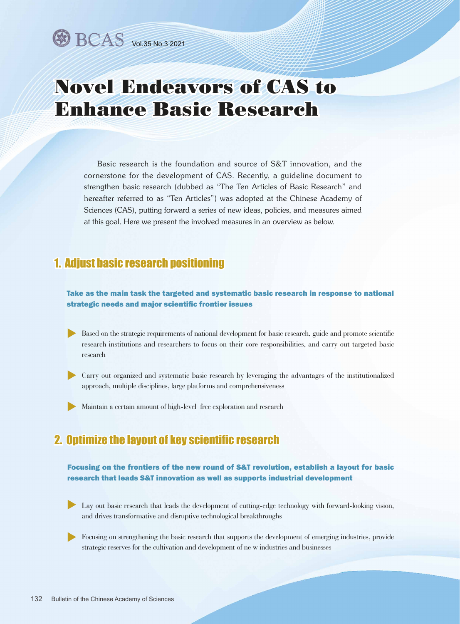# Novel Endeavors of CAS to Enhance Basic Research

Basic research is the foundation and source of S&T innovation, and the cornerstone for the development of CAS. Recently, a guideline document to strengthen basic research (dubbed as "The Ten Articles of Basic Research" and hereafter referred to as "Ten Articles") was adopted at the Chinese Academy of Sciences (CAS), putting forward a series of new ideas, policies, and measures aimed at this goal. Here we present the involved measures in an overview as below.

# 1. Adjust basic research positioning

Take as the main task the targeted and systematic basic research in response to national strategic needs and major scientific frontier issues

- Based on the strategic requirements of national development for basic research, guide and promote scientific research institutions and researchers to focus on their core responsibilities, and carry out targeted basic research
- Carry out organized and systematic basic research by leveraging the advantages of the institutionalized u approach, multiple disciplines, large platforms and comprehensiveness
- $\blacktriangleright \text{ Maintain a certain amount of high-level free exploration and research}$

### 2. Optimize the layout of key scientific research

#### Focusing on the frontiers of the new round of S&T revolution, establish a layout for basic research that leads S&T innovation as well as supports industrial development

- Lay out basic research that leads the development of cutting-edge technology with forward-looking vision, and drives transformative and disruptive technological breakthroughs
- Focusing on strengthening the basic research that supports the development of emerging industries, provide strategic reserves for the cultivation and development of ne w industries and businesses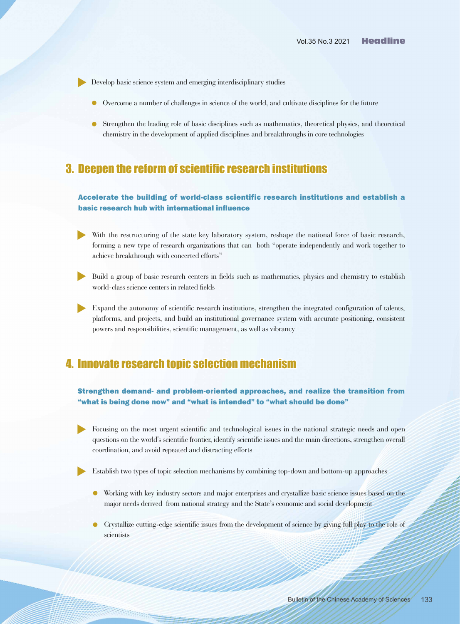- Develop basic science system and emerging interdisciplinary studies u
	- Overcome a number of challenges in science of the world, and cultivate disciplines for the future l
	- Strengthen the leading role of basic disciplines such as mathematics, theoretical physics, and theoretical l chemistry in the development of applied disciplines and breakthroughs in core technologies

### 3. Deepen the reform of scientific research institutions

#### Accelerate the building of world-class scientific research institutions and establish a basic research hub with international influence

- With the restructuring of the state key laboratory system, reshape the national force of basic research, forming a new type of research organizations that can both "operate independently and work together to achieve breakthrough with concerted efforts"  $\blacktriangleright$
- Build a group of basic research centers in fields such as mathematics, physics and chemistry to establish world-class science centers in related fields  $\blacktriangleright$
- Expand the autonomy of scientific research institutions, strengthen the integrated configuration of talents, platforms, and projects, and build an institutional governance system with accurate positioning, consistent powers and responsibilities, scientific management, as well as vibrancy  $\blacktriangleright$

# 4. Innovate research topic selection mechanism

Strengthen demand- and problem-oriented approaches, and realize the transition from "what is being done now" and "what is intended" to "what should be done"

Focusing on the most urgent scientific and technological issues in the national strategic needs and open questions on the world's scientific frontier, identify scientific issues and the main directions, strengthen overall coordination, and avoid repeated and distracting efforts  $\blacktriangleright$ 

Establish two types of topic selection mechanisms by combining top-down and bottom-up approaches  $\blacktriangleright$ 

- Working with key industry sectors and major enterprises and crystallize basic science issues based on the l major needs derived from national strategy and the State's economic and social development
- Crystallize cutting-edge scientific issues from the development of science by giving full play to the role of scientists  $\bullet$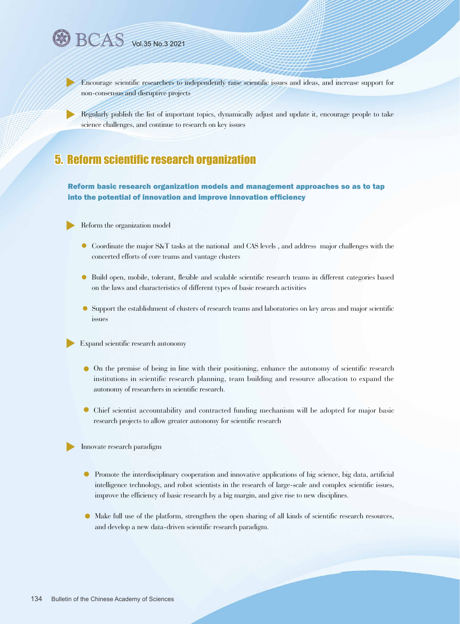$\blacktriangleright$ 

Encourage scientific researchers to independently raise scientific issues and ideas, and increase support for non-consensus and disruptive projects

Regularly publish the list of important topics, dynamically adjust and update it, encourage people to take science challenges, and continue to research on key issues

### 5. Reform scientific research organization

Reform basic research organization models and management approaches so as to tap into the potential of innovation and improve innovation efficiency

Reform the organization model  $\blacktriangleright$ 

- Coordinate the major S&T tasks at the national and CAS levels , and address major challenges with the l concerted efforts of core teams and vantage clusters
- Build open, mobile, tolerant, flexible and scalable scientific research teams in different categories based l on the laws and characteristics of different types of basic research activities
- Support the establishment of clusters of research teams and laboratories on key areas and major scientific l issues

Expand scientific research autonomy  $\blacktriangleright$ 

- On the premise of being in line with their positioning, enhance the autonomy of scientific research l institutions in scientific research planning, team building and resource allocation to expand the autonomy of researchers in scientific research.
- Chief scientist accountability and contracted funding mechanism will be adopted for major basic l research projects to allow greater autonomy for scientific research

Innovate research paradigm  $\blacktriangleright$ 

- Promote the interdisciplinary cooperation and innovative applications of big science, big data, artificial l intelligence technology, and robot scientists in the research of large-scale and complex scientific issues, improve the efficiency of basic research by a big margin, and give rise to new disciplines.
- Make full use of the platform, strengthen the open sharing of all kinds of scientific research resources, l and develop a new data-driven scientific research paradigm.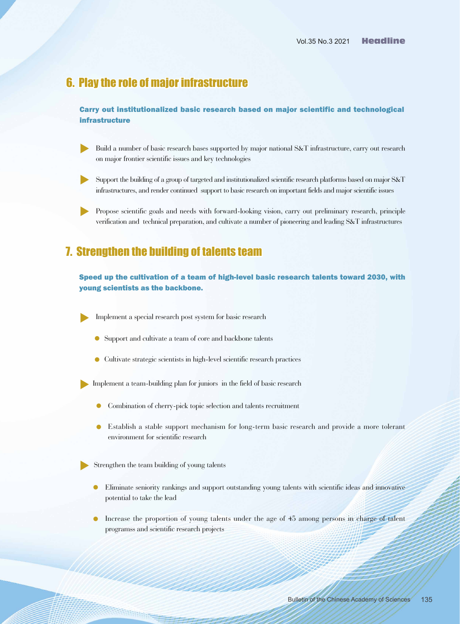### 6. Play the role of major infrastructure

Carry out institutionalized basic research based on major scientific and technological infrastructure

- Build a number of basic research bases supported by major national S&T infrastructure, carry out research on major frontier scientific issues and key technologies  $\blacktriangleright$
- Support the building of a group of targeted and institutionalized scientific research platforms based on major S&T infrastructures, and render continued support to basic research on important fields and major scientific issues  $\blacktriangleright$
- Propose scientific goals and needs with forward-looking vision, carry out preliminary research, principle verification and technical preparation, and cultivate a number of pioneering and leading S&T infrastructures  $\blacktriangleright$

## 7. Strengthen the building of talents team

#### Speed up the cultivation of a team of high-level basic research talents toward 2030, with young scientists as the backbone.

 $\blacktriangleright$ Implement a special research post system for basic research

- Support and cultivate a team of core and backbone talents l
- Cultivate strategic scientists in high-level scientific research practices l

 $\blacktriangleright$ Implement a team-building plan for juniors in the field of basic research

- Combination of cherry-pick topic selection and talents recruitment  $\bullet$
- Establish a stable support mechanism for long-term basic research and provide a more tolerant environment for scientific research  $\bullet$

 $\blacktriangleright$ Strengthen the team building of young talents

Military

- Eliminate seniority rankings and support outstanding young talents with scientific ideas and innovative l potential to take the lead
- **Increase the proportion of young talents under the age of 45 among persons in charge of talent** programss and scientific research projects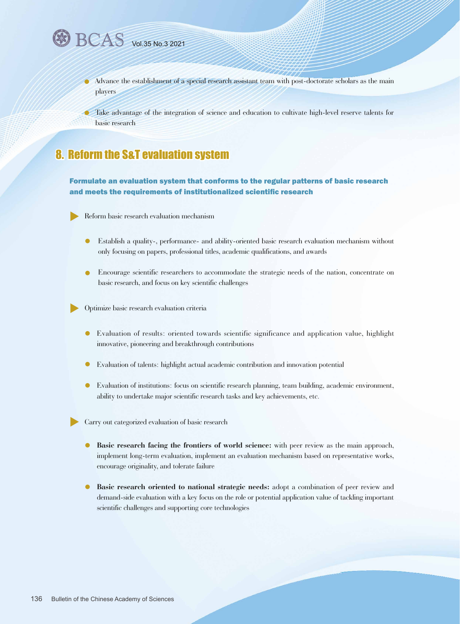$\bullet$ 

Advance the establishment of a special research assistant team with post-doctorate scholars as the main players  $\bullet$ 

Take advantage of the integration of science and education to cultivate high-level reserve talents for basic research

# 8. Reform the S&T evaluation system

#### Formulate an evaluation system that conforms to the regular patterns of basic research and meets the requirements of institutionalized scientific research

Reform basic research evaluation mechanism  $\blacktriangleright$ 

- Establish a quality-, performance- and ability-oriented basic research evaluation mechanism without only focusing on papers, professional titles, academic qualifications, and awards  $\bullet$
- Encourage scientific researchers to accommodate the strategic needs of the nation, concentrate on basic research, and focus on key scientific challenges  $\bullet$

Optimize basic research evaluation criteria  $\blacktriangleright$ 

- Evaluation of results: oriented towards scientific significance and application value, highlight innovative, pioneering and breakthrough contributions  $\bullet$
- Evaluation of talents: highlight actual academic contribution and innovation potential  $\bullet$
- Evaluation of institutions: focus on scientific research planning, team building, academic environment, ability to undertake major scientific research tasks and key achievements, etc.

Carry out categorized evaluation of basic research

- $\bullet$ **Basic research facing the frontiers of world science:** with peer review as the main approach, implement long-term evaluation, implement an evaluation mechanism based on representative works, encourage originality, and tolerate failure
- $\bullet$ **Basic research oriented to national strategic needs:** adopt a combination of peer review and demand-side evaluation with a key focus on the role or potential application value of tackling important scientific challenges and supporting core technologies